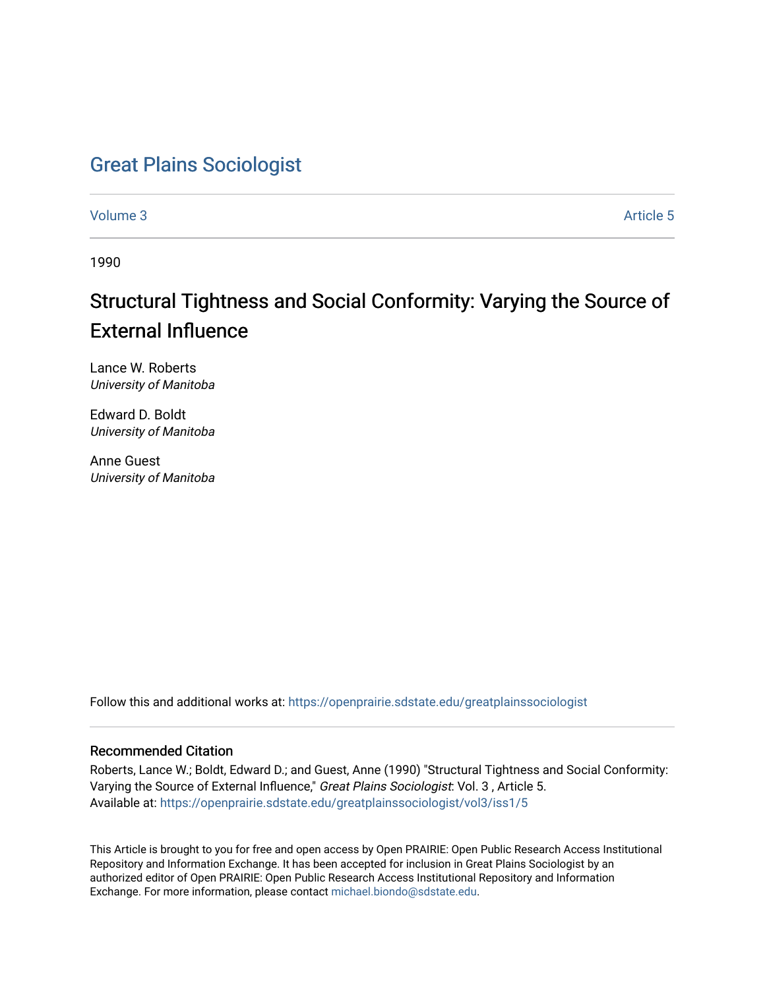## [Great Plains Sociologist](https://openprairie.sdstate.edu/greatplainssociologist)

[Volume 3](https://openprairie.sdstate.edu/greatplainssociologist/vol3) Article 5

1990

# Structural Tightness and Social Conformity: Varying the Source of External Influence

Lance W. Roberts University of Manitoba

Edward D. Boldt University of Manitoba

Anne Guest University of Manitoba

Follow this and additional works at: [https://openprairie.sdstate.edu/greatplainssociologist](https://openprairie.sdstate.edu/greatplainssociologist?utm_source=openprairie.sdstate.edu%2Fgreatplainssociologist%2Fvol3%2Fiss1%2F5&utm_medium=PDF&utm_campaign=PDFCoverPages) 

### Recommended Citation

Roberts, Lance W.; Boldt, Edward D.; and Guest, Anne (1990) "Structural Tightness and Social Conformity: Varying the Source of External Influence," Great Plains Sociologist: Vol. 3 , Article 5. Available at: [https://openprairie.sdstate.edu/greatplainssociologist/vol3/iss1/5](https://openprairie.sdstate.edu/greatplainssociologist/vol3/iss1/5?utm_source=openprairie.sdstate.edu%2Fgreatplainssociologist%2Fvol3%2Fiss1%2F5&utm_medium=PDF&utm_campaign=PDFCoverPages) 

This Article is brought to you for free and open access by Open PRAIRIE: Open Public Research Access Institutional Repository and Information Exchange. It has been accepted for inclusion in Great Plains Sociologist by an authorized editor of Open PRAIRIE: Open Public Research Access Institutional Repository and Information Exchange. For more information, please contact [michael.biondo@sdstate.edu.](mailto:michael.biondo@sdstate.edu)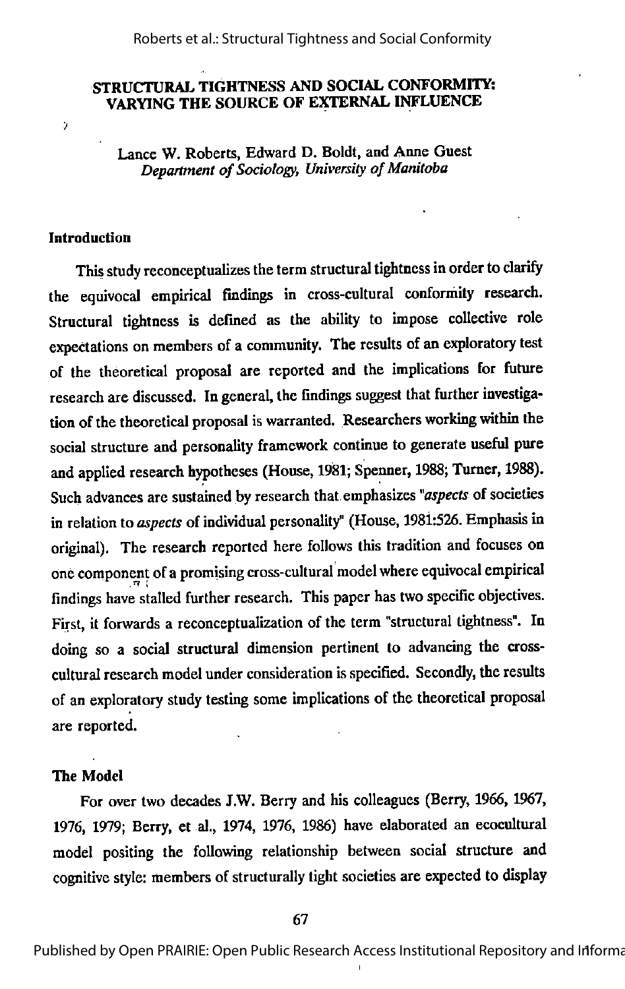#### Roberts et al.: Structural Tightness and Social Conformity

#### STRUCTURAL TIGHTNESS AND SOCIAL CONrORMITY: VARYING THE SOURCE OF EXTERNAL INFLUENCE

Lance W. Roberts, Edward D. Boldt, and Anne Guest Department of Sociology, University of Manitoba

#### Introduction

Q.

This study reconceptualizes the term structural tightness in order to clarify the equivocal empirical findings in cross-cultural conformity research. Structural tightness is defined as the ability to impose collective role expectations on members of a community. The results of an exploratory test of the theoretical proposal are reported and the implications for future research are discussed. In general, the findings suggest that further investigation of the theoretical proposal is warranted. Researchers working within the social structure and personality framework continue to generate useful pure and applied research hypotheses (House, 1981; Spenner, 1988; Turner, 1988). Such advances are sustained by research that emphasizes "aspects of societies in relation to aspects of individual personality" (House, 1981:526. Emphasis in original). The research reported here follows this tradition and focuses on one component of a promising cross-cultural model where equivocal empirical findings have stalled further research. This paper has two specific objectives. First, it forwards a reconceptualization of the term"structural tightness". In doing so a social structural dimension pertinent to advancing the crosscultural research model under consideration is specified. Secondly, the results of an exploratory study testing some implications of the theoretical proposal are reported.

#### The Model

For over two decades J.W. Berry and his colleagues (Berry, 1966, 1967, 1976, 1979; Berry, et al., 1974, 1976, 1986) have elaborated an ecocultural model positing the following relationship between social structure and cognitive style: members of structurally tight societies are expected to display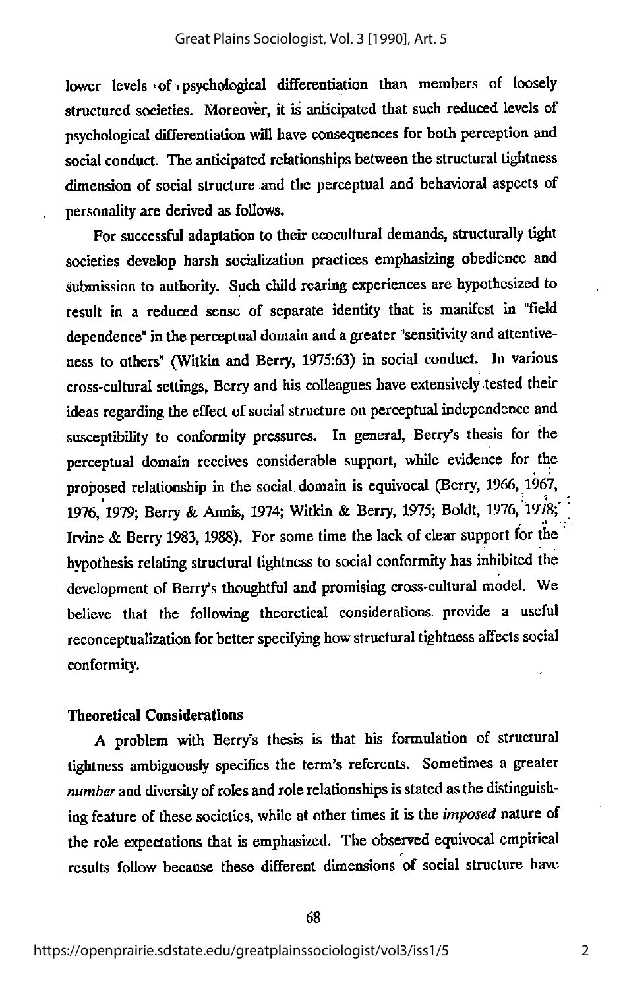lower levels of psychological differentiation than members of loosely structured societies. Moreover, it is anticipated that such reduced levels of psychological differentiation will have consequences for both perception and social conduct. The anticipated relationships between the structural tightness dimension of social structure and the perceptual and behavioral aspects of personality are derived as follows.

For successful adaptation to their ecocultural demands, structurally tight societies develop harsh socialization practices emphasizing obedience and submission to authority. Such child rearing experiences are hypothesized to result in a reduced sense of separate identity that is manifest in "field dependence" in the perceptual domain and a greater "sensitivity and attentiveness to others" (Witkin and Berry, 1975:63) in social conduct. In various cross-cultural settings, Berry and his colleagues have extensively tested their ideas regarding the effect of social structure on perceptual independence and susceptibility to conformity pressures. In general, Berry's thesis for the perceptual domain receives considerable support, while evidence for the proposed relationship in the social domain is equivocal (Berry, 1966, 1967, 1976, 1979; Berry & Annis, 1974; Witkin & Berry, 1975; Boldt, 1976, 1978; Irvine & Berry 1983, 1988). For some time the lack of clear support for the hypothesis relating structural tightness to social conformity has inhibited the development of Berry's thoughtful and promising cross-cultural model. We believe that the following theoretical considerations provide a useful reconceptualization for better specifying how structural tightness affects social conformity.

#### Theoretical Considerations

A problem with Berry's thesis is that his formulation of structural tightness ambiguously specifies the term's referents. Sometimes a greater number and diversity of roles and role relationships is stated as the distinguishing feature of these societies, while at other times it is the *imposed* nature of the role expectations that is emphasized. The observed equivocal empirical results follow because these different dimensions of social structure have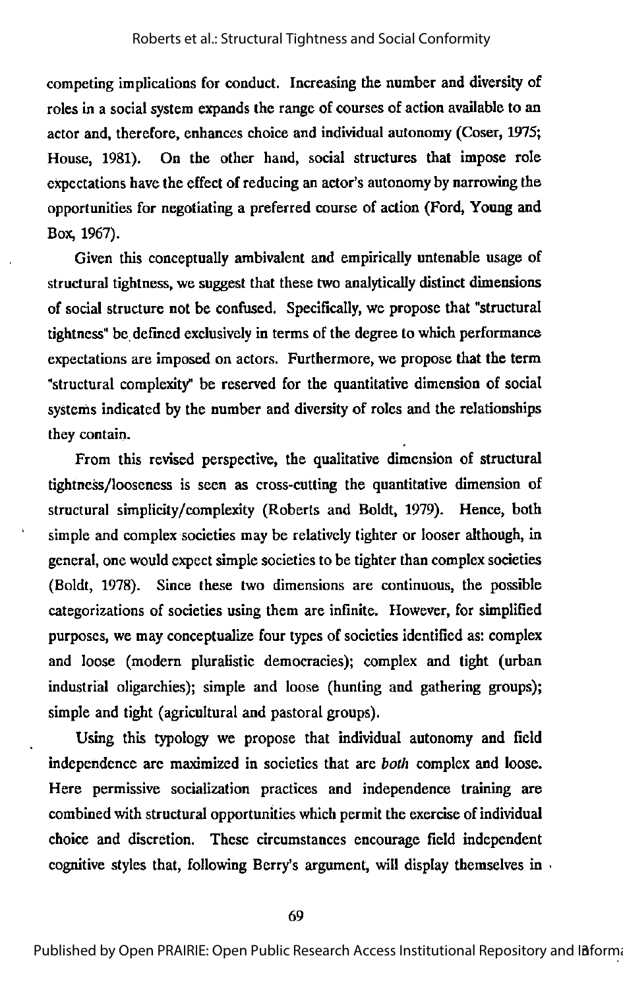competing implications for conduct. Increasing the number and diversity of roles in a social system expands the range of courses of action available to an actor and, therefore, enhances choice and individual autonomy (Coser, 1975; House, 1981). On the other hand, social structures that impose role expectations have the effect of reducing an actor's autonomy by narrowing the opportunities for negotiating a preferred course of action (Ford, Young and Box, 1967).

Given this conceptually ambivalent and empirically untenable usage of structural tightness, we suggest that these two analytically distinct dimensions of social structure not be confused. Specifically, we propose that "structural tightness" be.defined exclusively in terms of the degree to which performance expectations are imposed on actors. Furthermore, we propose that the term "structural complexity" be reserved for the quantitative dimension of social systems indicated by the number and diversity of roles and the relationships they contain.

From this revised perspective, the qualitative dimension of structural tightness/looseness is seen as cross-cutting the quantitative dimension of structural simplicity/complexity (Roberts and Boldt, 1979). Hence, both simple and complex societies may be relatively tighter or looser although, in general, one would expect simple societies to be tighter than complex societies (Boldt, 1978). Since these two dimensions are continuous, the possible categorizations of societies using them are infinite. However, for simplified purposes, we may conceptualize four types of societies identified as: complex and loose (modern pluralistic democracies); complex and tight (urban industrial oligarchies); simple and loose (hunting and gathering groups); simple and tight (agricultural and pastoral groups).

Using this typology we propose that individual autonomy and field independence are maximized in societies that are both complex and loose. Here permissive socialization practices and independence training are combined with structural opportunities which permit the exercise of individual choice and discretion. These circumstances encourage field independent cognitive styles that, following Berry's argument, will display themselves in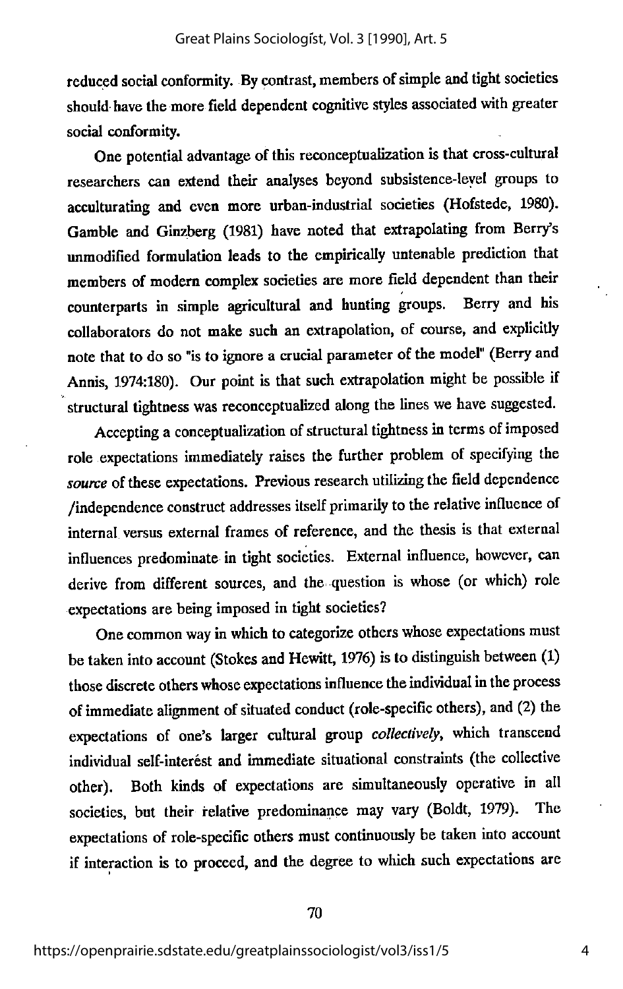reduced social conformity. By contrast, members of simple and tight societies should have the more field dependent cognitive styles associated with greater social conformity.

One potential advantage of this reconceptualization is that cross-cultural researchers can extend their analyses beyond subsistence-leyel groups to acculturating and even more urban-industrial societies (Hofstede, 1980). Gamble and Ginzberg (1981) have noted that extrapolating from Berry's unmodified formulation leads to the empirically untenable prediction that members of modern complex societies are more field dependent than their counterparts in simple agricultural and hunting groups. Berry and his collaborators do not make such an extrapolation, of course, and explicitly note that to do so "is to ignore a crucial parameter of the model" (Berry and Annis, 1974:180). Our point is that such extrapolation might be possible if structural tightness was reconceptualized along the lines we have suggested.

Accepting a conceptualization of structural tightness in terms of imposed role expectations immediately raises the further problem of specifying the source of these expectations. Previous research utilizing the field dependence /independence construct addresses itself primarily tothe relative influence of internal versus external frames of reference, and the thesis is that external influences predominate in tight societies. External influence, however, can derive from different sources, and the question is whose (or which) role expectations are being imposed in tight societies?

One common way in which to categorize others whose expectations must be taken into account (Stokes and Hewitt, 1976) is to distinguish between (1) those discrete others whose expectations influence the individual in the process of immediate alignment of situated conduct (role-specific others), and (2) the expectations of one's larger cultural group collectively, which transcend individual self-interest and immediate situational constraints (the collective other). Both kinds of expectations are simultaneously operative in all societies, but their relative predominance may vary (Boldt, 1979). The expectations of role-specific others must continuously be taken into account if interaction is to proceed, and the degree to which such expectations are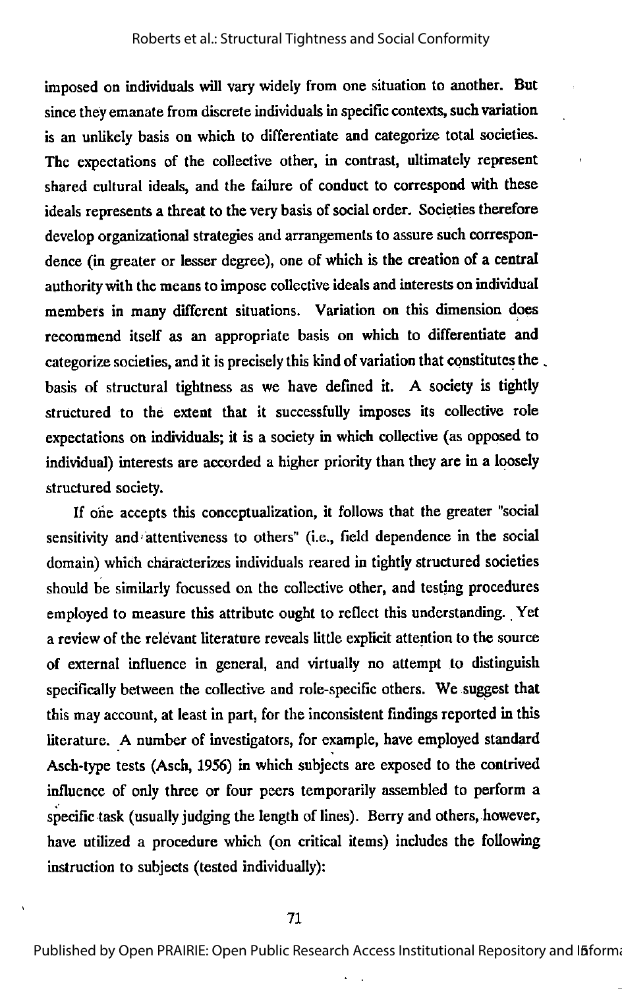imposed on individuals will varywidely from one situation to another. But since they emanate from discrete individuals in specific contexts, such variation is an unlikely basis on which to differentiate and categorize total societies. The expectations of the collective other, in contrast, ultimately represent shared cultural ideals, and the failure of conduct to correspond with these ideals represents a threat to the very basis of social order. Societies therefore develop organizational strategies and arrangements to assure such correspondence (in greater or lesser degree), one of which is the creation of a central authority with the means to impose collective ideals and interests on individual members in many different situations. Variation on this dimension does recommend itself as an appropriate basis on which to differentiate and categorize societies, and it is precisely this kind of variation that constitutes the. basis of structural tightness as we have defined it. A society is tightly structured to the extent that it successfully imposes its collective role expectations on individuals; it is a society in which collective (as opposed to individual) interests are accorded a higher priority than they are in a loosely structured society.

If one accepts this conceptualization, it follows that the greater "social sensitivity and'attentiveness to others" (i.e., field dependence in the social domain) which characterizes individuals reared in tightly structured societies should be similarly focussed on the collective other, and testing procedures employed to measure this attribute ought to reflect this understanding. Yet a review of the relevant literature reveals little explicit attention to the source of external influence in general, and virtually no attempt to distinguish specifically between the collective and role-specific others. We suggest that this may account, at least in part, for the inconsistent findings reported in this literature. A number of investigators, for example, have employed standard Asch-type tests (Asch, 1956) in which subjects are exposed to the contrived influence of only three or four peers temporarily assembled to perform a specific task (usually judging the length of lines). Berryand others, however, have utilized a procedure which (on critical items) includes the following instruction to subjects (tested individually):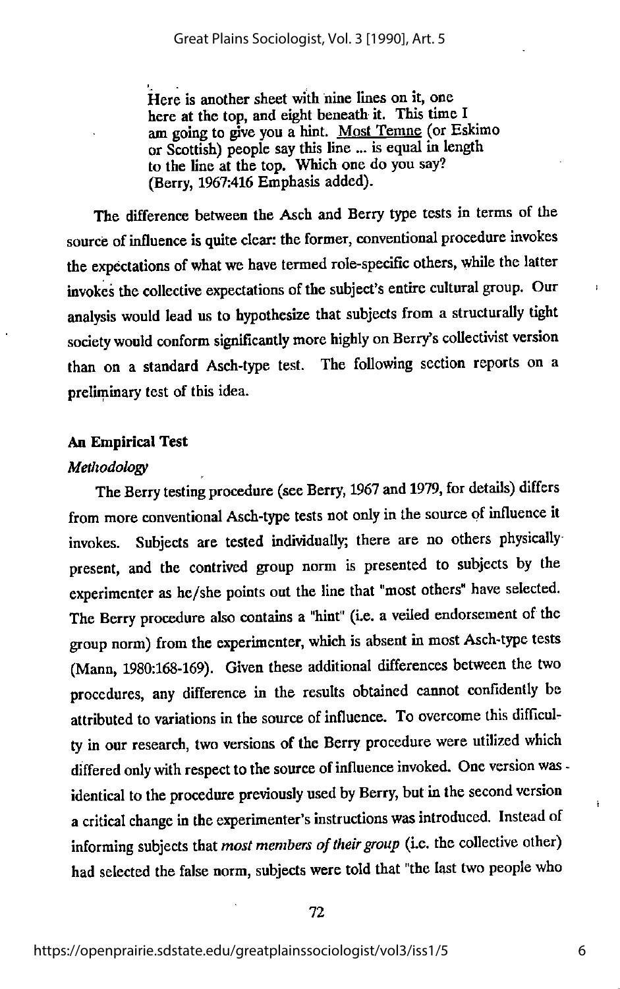Here is another sheet with nine lines on it, one here at the top, and eight beneath it. This time I am going to give you a hint. Most Temne (or Eskimo or Scottish) people say this line ... is equal in length to the line at the top. Which one do you say? (Berry, 1967:416 Emphasis added).

The difference between the Asch and Berry type tests in terms of the source of influence is quite clear: the former, conventional procedure invokes the expectations of what we have termed role-specific others, while the latter invokes the collective expectations of the subject's entire cultural group. Our analysis would lead us to hypothesize that subjects from a structurally tight society would conform significantly more highly on Berry's collectivist version than on a standard Asch-type test. The following section reports on a preliminary test of this idea.

#### An Empirical Test

#### Methodology

The Berry testing procedure (see Berry, 1967 and 1979, for details) differs from more conventional Asch-type tests not only in the source of influence it invokes. Subjects are tested individually; there are no others physically present, and the contrived group norm is presented to subjects by the experimenter as he/she points out the line that "most others" have selected. The Berry procedure also contains a "hint" (i.e. a veiled endorsement of the group norm) from the experimenter, which is absent in most Asch-type tests (Mann, 1980:168-169). Given these additional differences between the two procedures, any difference in the results obtained eannot confidently be attributed to variations in the source of influence. To overcome this difficulty in our research, two versions of the Berry procedure were utilized which differed only with respect to the source of influence invoked. One version was identical to the procedure previously used by Berry, but in the second version a critical change in the experimenter's instructions was introduced. Instead of informing subjects that most members of their group (i.e. the collective other) had selected the false norm, subjects were told that "the last two people who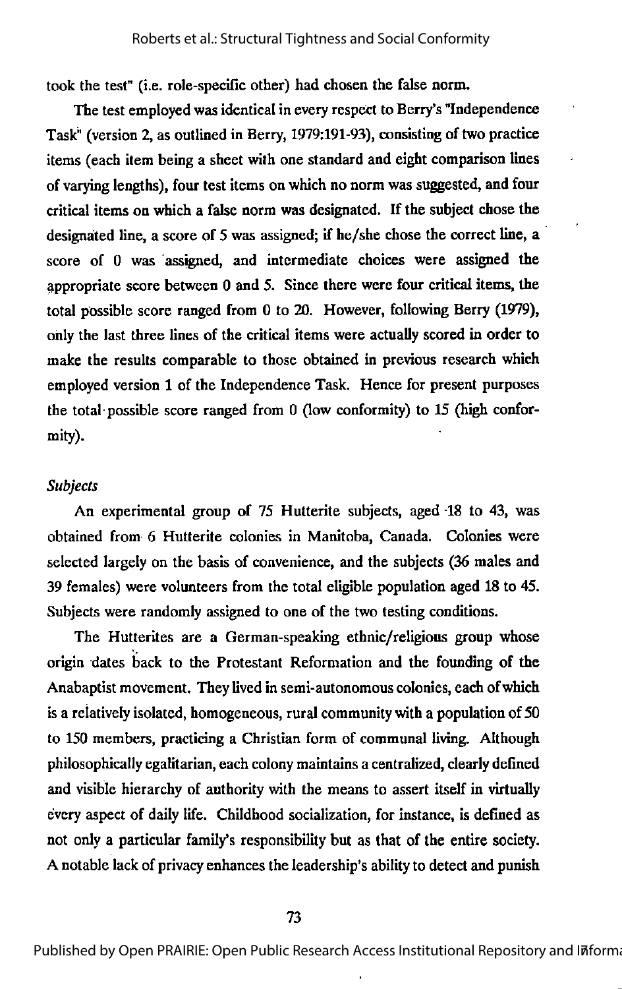took the test" (i.e. role-specific other) had chosen the false norm.

The test employed was identical in every respect to Berry's "Independence Task" (version 2, as outlined in Berry, 1979:191-93), consisting of two practice items (each item being a sheet with one standard and eight comparison lines of varying lengths), four test items on which no norm was suggested, and four critical items on which a false norm was designated. If the subject chose the designated line, a score of 5 was assigned; if he/she chose the correct line, a score of 0 was assigned, and intermediate choices were assigned the appropriate score between 0 and 5. Since there were four criticalitems, the total possible score ranged from 0 to 20. However, following Berry (1979), only the last three lines of the critical items were actually scored in order to make the results comparable to those obtained in previous research which employed version 1 of the Independence Task. Hence for present purposes the total possible score ranged from 0 (low conformity) to 15 (high confor mity).

#### Subjects

An experimental group of 75 Hutterite subjects, aged 18 to 43, was obtained from 6 Hutterite colonies in Manitoba, Canada. Colonies were selected largely on the basis of convenience, and the subjects (36 males and 39 females) were volunteers from the total eligible population aged 18 to 45. Subjects were randomly assigned to one of the two testing conditions.

The Hutterites are a German-speaking ethnic/religious group whose origin dates back to the Protestant Reformation and the founding of the Anabaptist movement. They lived in semi-autonomous colonies, each of which is a relatively isolated, homogeneous, rural community with a population of 50 to 150 members, practicing a Christian form of communal living. Although philosophically egalitarian, each colony maintains a centralized, clearly defined and visible hierarchy of authority with the means to assert itself in virtually every aspect of daily life. Childhood socialization, for instance, is defined as not only a particular family's responsibility but as that of the entire society. A notable lack of privacyenhances the leadership's abilityto detect and punish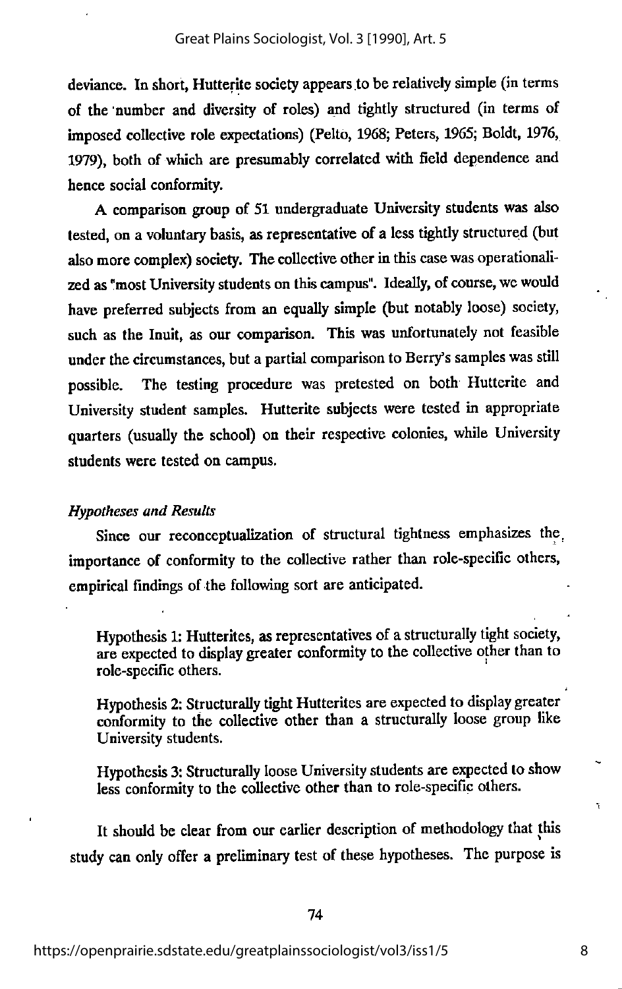deviance. In short, Hutterite society appears to be relatively simple (in terms of the "number and diversity of roles) and tightly structured (in terras of imposed collective role expectations) (Pelto, 1968; Peters, 1965; Boldt, 1976, 1979), both of which are presumably correlated wth field dependence and hence social conformity.

A comparison group of 51 undergraduate University students was also tested, on a voluntary basis, as representative of a less tightly structured (but also more complex) society. The collective other in this case was operationalized as "most University students on thiscampus". Ideally, of course, wewould have preferred subjects from an equally simple (but notably loose) society, such as the Inuit, as our comparison. This was unfortunately not feasible under the circumstances, but a partial comparison to Berry's samples was still possible. The testing procedure was pretested on both Hutterite and University student samples. Hutterite subjects were tested in appropriate quarters (usually the school) on their respective colonies, while University students were tested on campus.

#### Hypotheses and Results

Since our reconceptualization of structural tightness emphasizes the. importance of conformity to the collective rather than role-specific others, empirical findings of the following sort are anticipated.

Hypothesis 1: Hutterites, as representatives of a structurally tight society, are expected to display greater conformity to the collective other than to role-specific others.

Hypothesis 2: Structurally tight Hutterites are expected to display greater conformity to the collective other than a structurally loose group like University students.

Hypothesis 3: Structurally loose University students are expected to show less conformity to the collective other than to role-specific others.

It should be clear from our earlier description of methodology that this study can only offer a preliminary test of these hypotheses. The purpose is Ÿ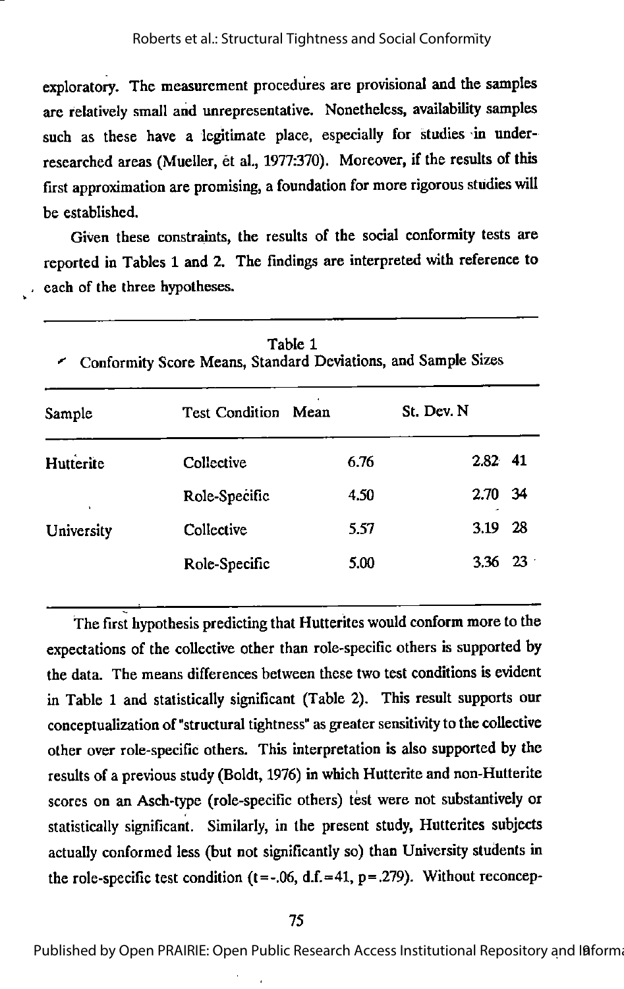exploratory. The measurement procedures are provisional and the samples are relatively small and unrepresentative. Nonetheless, availability samples such as these have a legitimate place, especially for studies in underresearched areas (Mueller, et al., 1977:370). Moreover, if the results of this first approximation are promising, a foundation for more rigorous studies will be established.

Given these constraints, the results of the social conformity tests are reported in Tables 1 and 2. The findings are interpreted with reference to each of the three hypotheses.

| Table 1<br>Conformity Score Means, Standard Deviations, and Sample Sizes |                               |      |                 |     |  |  |  |
|--------------------------------------------------------------------------|-------------------------------|------|-----------------|-----|--|--|--|
| Sample                                                                   | <b>Test Condition</b><br>Mean |      | St. Dev. N      |     |  |  |  |
| Hutterite                                                                | Collective                    | 6.76 | $2.82$ 41       |     |  |  |  |
| ×.                                                                       | Role-Specific                 | 4.50 | 2.70 34         |     |  |  |  |
| University                                                               | Collective                    | 5.57 | 3.19            | -28 |  |  |  |
|                                                                          | Role-Specific                 | 5.00 | $3.36 \quad 23$ |     |  |  |  |

The first hypothesis predicting that Hutterites would conform more to the expectations of the collective other than role-specific others is supported by the data. The means differences between these two test conditions is evident in Table 1 and statistically significant (Table 2). This result supports our conceptualization of "structural tightness" as greater sensitivity to the collective other over role-specific others. Thisinterpretation is also supported by the results of a previous study (Boldt, 1976) in which Hutterite and non-Hutterite scores on an Asch-type (role-specific others) test were not substantively or statistically significant. Similarly, in the present study, Hutterites subjects actually conformed less (but not significantly so) than University students in the role-specific test condition ( $t = -.06$ , d.f. = 41,  $p = .279$ ). Without reconcep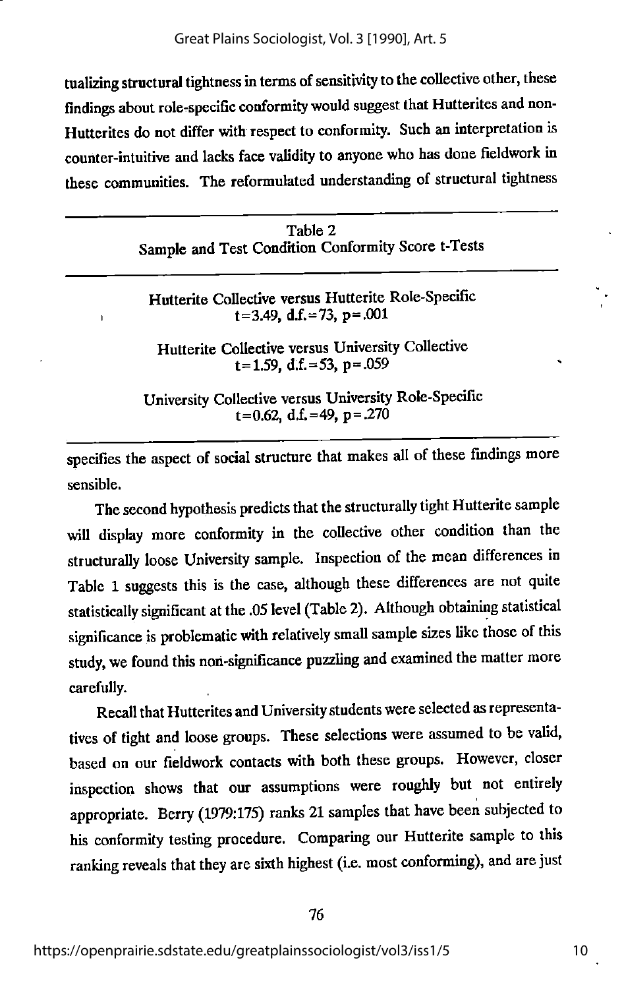tualizing structural tightness in terms of sensitivity to the collective other, these findings about role-specific conformity would suggest that Hutterites and non-Hutterites do not differ with respect to conformity. Such an interpretation is counter-intuitive and lacks face validity to anyone who has done fieldwork in these communities. The reformulated understanding of structural tightness

| Table 2                                            |  |  |  |  |  |
|----------------------------------------------------|--|--|--|--|--|
| Sample and Test Condition Conformity Score t-Tests |  |  |  |  |  |

Hutterite Collective versus Hutterite Role-Specific  $t=3.49$ , d.f. = 73, p = .001

Hutterite Collective versus University Collective  $t=1.59$ , d.f. = 53, p = 059

University Collective versus University Role-Specific  $t=0.62$ , d.f. = 49, p = .270

specifies the aspect of social structure that makes all of these findings more sensible.

The second hypothesis predicts that the structurally tight Hutterite sample will display more conformity in the collective other condition than the structurally loose University sample. Inspection of the mean differences in Table 1 suggests this is the case, although these differences are not quite statistically significant at the .05 level (Table 2). Although obtaining statistical significance is problematic with relatively small sample sizes like those of this study, we found this non-significance puzzling and examined the matter more carefully.

Recall that Hutterites and University students were selected as representatives of tight and loose groups. These selections were assumed to be valid, based on our fieldwork contacts with both these groups. However, closer inspection shows that our assumptions were roughly but not entirely appropriate. Berry (1979:175) ranks 21 samples that have been subjected to his conformity testing procedure. Comparing our Hutterite sample to this ranking reveals that they are sixth highest (i.e. most conforming), and are just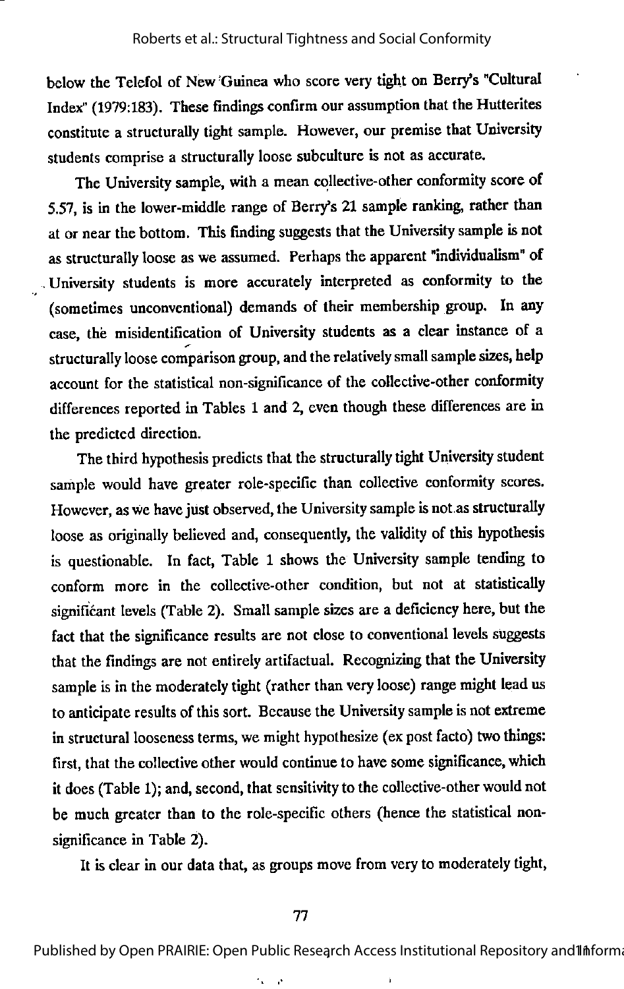below the Telefol of New Guinea who score very tight on Berry's "Cultural Index" (1979:183). These findings confirm our assumption that the Hutterites constitute a structurally tight sample. However, our premise that University students comprise a structurally loose subculture is not as accurate.

The University sample, with a mean collective-other conformity score of 5.57, is in the lower-middle range of Berry's 21 sample ranking, rather than at or near the bottom. This finding suggests that the University sample is not as structurally loose as we assumed. Perhaps the apparent "individualism" of University students is more accurately interpreted as conformity to the (sometimes unconventional) demands of their membership group. In any case, the misidentification of University students as a clear instance of a structurally loose comparison group, and the relatively small sample sizes, help account for the statistical non-significance of the collective-other conformity differences reported in Tables 1 and 2, even though these differences are in the predicted direction.

The third hypothesis predicts that the structurally tight University student sample would have greater role-specific than collective conformity scores. However, as we have just observed, the University sample is not as structurally loose as originally believed and, consequently, the validity of this hypothesis is questionable. In fact, Table 1 shows the University sample tending to conform more in the collective-other condition, but not at statistically significant levels (Table 2). Small sample sizes are a deficiency here, but the fact that the significance results are not close to conventional levels suggests that the findings are not entirely artifactual. Recognizing that the University sample is in the moderately tight (rather than very loose) range might lead us to anticipate results of this sort. Because the University sample is not extreme in structural looseness terms, we might hypothesize (ex post facto) two things: first, that the collective other would continue to have some significance, which it does (Table 1); and, second, that sensitivity to the collective-other would not be much greater than to the role-specific others (hence the statistical nonsignificance in Table 2).

It is clear in our data that, as groups move from very to moderately tight,

 $\cdot$ V,

Published by Open PRAIRIE: Open Public Research Access Institutional Repository and Informa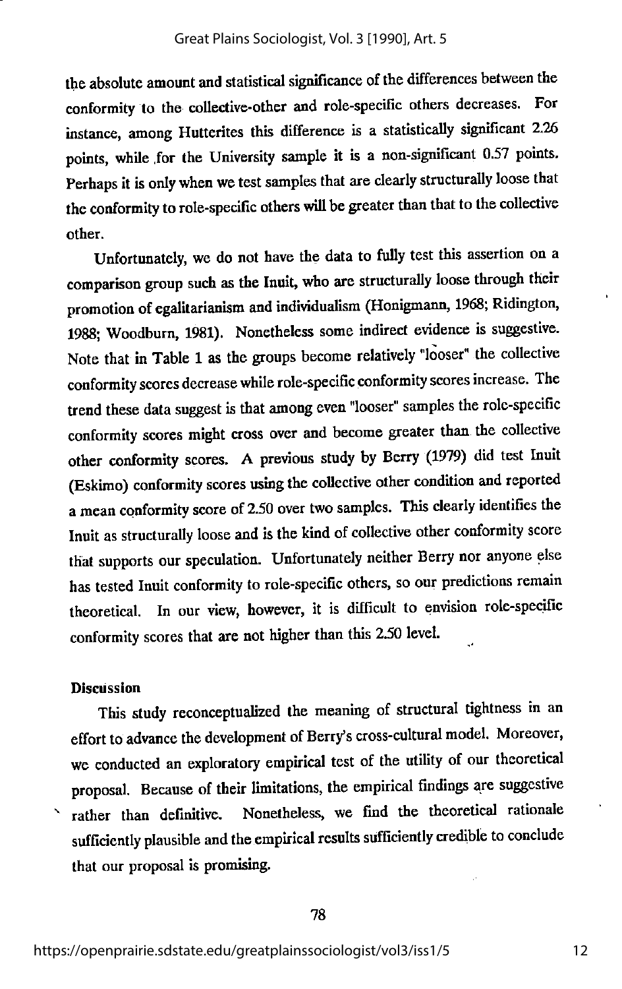the absolute amount and statistical significance of the differences between the conformity to the collective-other and role-specific others decreases. For instance, among Hutterites this difference is a statistically significant 2.26 points, while .for the University sample it is a non-significant 0.57 points. Perhaps it is only when we test samples that are clearly structurally loose that the conformity to role-specific others will be greater than that to the collective other.

Unfortunately, we do not have the data to fully test this assertion on a comparison group such as the Inuit, who are structurally loose through their promotion of egalitarianism and individualism (Honigmann, 1968; Ridington, 1988; Woodburn, 1981). Nonetheless some indirect evidence is suggestive. Note that in Table 1 as the groups become relatively "looser" the collective conformity scores decrease while role-specific conformity scores increase. The trend these data suggest is that among even "looser" samples the role-specific conformity scores might cross over and become greater than the collective other conformity scores. A previous study by Berry (1979) did test Inuit (Eskimo) conformity scores using the collective other condition and reported amean conformity score of 2.50 over two samples. This clearly identifies the Inuit as structurally loose and is the kind of collective other conformity score that supports our speculation. Unfortunately neither Berry nor anyone else has tested Inuit conformity to role-specific others, so our predictions remain theoretical. In our view, however, it is difficult to envision role-specific conformity scores that are not higher than this 2.50 level.

#### **Discussion**

This study reconceptualized the meaning of structural tightness in an effort to advance the development of Berry's cross-cultural model. Moreover, we conducted an exploratory empirical test of the utility of our theoretical proposal. Because of their limitations, the empirical findings are suggestive rather than definitive. Nonetheless, we find the theoretical rationale sufficiently plausible and the empirical results sufficiently credible to conclude that our proposal is promising.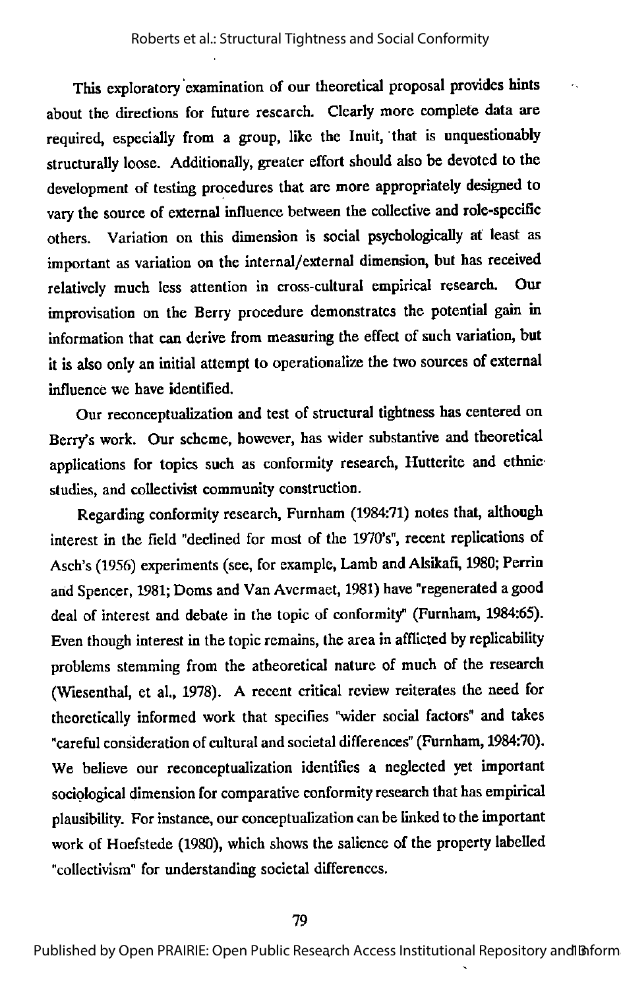This exploratory examination of our theoretical proposal provides hints about the directions for future research. Clearly more complete data are required, especially from a group, like the Inuit, that is unquestionably structurally loose. Additionally, greater effort should also be devoted to the development of testing procedures that are more appropriately designed to vary the source of external influence between the collective and role-specific others. Variation on this dimension is social psychologically at least as important as variation on the internal/external dimension, but has received relatively much less attention in cross-cultural empirical research. Our improvisation on the Berry procedure demonstrates the potential gain in information that can derive from measuring the effect of such variation, but it is also only an initial attempt to operationalize the two sources of external influence we have identified.

Our reconceptualization and test of structural tightness has centered on Berry's work. Our scheme, however, has wider substantive and theoretical applications for topics such as conformity research, Hutterite and ethnic studies, and collectivist community construction.

Regarding conformity research, Furnham (1984:71) notes that, although interest in the field "declined for most of the 1970's", recent replications of Asch's (1956) experiments (see, for example. Lamb and Alsikafi, 1980; Perrin and Spencer, 1981; Doms and Van Avcrmaet, 1981) have "regenerated agood deal of interest and debate in the topic of conformity" (Furnham, 1984:65). Even though interest in the topic remains, the area in afflicted by replicability problems stemming from the atheoretical nature of much of the research (Wiesenthal, et al., 1978). A recent critical review reiterates the need for theoretically informed work that specifies "wider social factors" and takes "careful consideration of cultural and societal differences" (Furnham, 1984:70). We believe our reconceptualization identifies a neglected yet important sociological dimension for comparative conformity research that has empirical plausibility. For instance, our conceptualization can be linked to the important work of Hoefstede (1980), which shows the salience of the property labelled "collectivism" for understanding societal differences.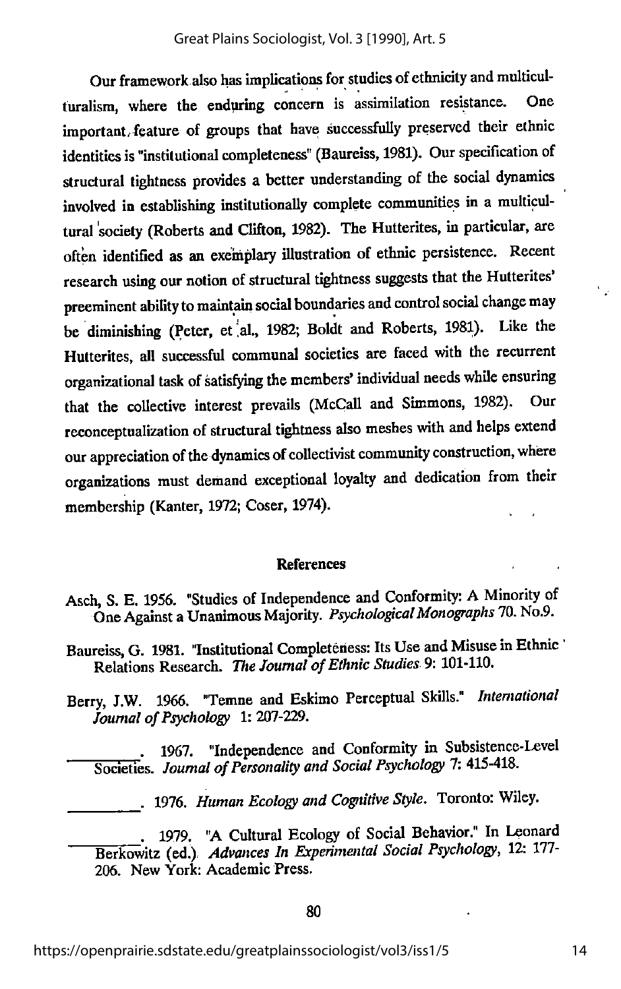Our framework also has implications for studies of ethnicity and multiculturalism, where the enduring concern is assimilation resistance. One important/feature of groups that have successfully preserved their ethnic identities is "institutional completeness" (Baureiss, 1981). Our specification of structural tightness provides a better understanding of the social djmamics involved in establishing institutionally complete commumties in a multicul tural society (Roberts and Clifton, 1982). The Hutterites, in particular, are often identified as an exemplary illustration of ethmc persistence. Recent research using our notion of structural tightness suggests that the Hutterites' preeminent ability to maintain social boundaries and control social change may be diminishing (Peter, et al., 1982; Boldt and Roberts, 1981). Like the Hutterites, all successful communal societies are faced with the recurrent organizational task of satisfying the members' individual needs while ensuring that the collective interest prevails (McCall and Simmons, 1982). Our reconceptualization of structural tightness also meshes with and helps extend our appreciation of the dynamics of collectivist community construction, where organizations must demand exceptional loyalty and dedication from their membership (Kanter, 1972; Coser, 1974).

#### References

- Asch, S. E. 1956. "Studies of Independence and Conformity: A Minority of One Against a Unanimous Majority. Psychological Monographs 70. No.9.
- Baureiss, G. 1981. "Institutional Completeness: Its Use and Misuse in Ethnic Relations Research. The Journal of Ethnic Studies 9: 101-110.
- Berry, J.W. 1966. "Temne and Eskimo Perceptual Skills." International Journal of Psychology 1: 207-229.
	- . 1967. "Independence and Conformity in Subsistence-Level Societies. Journal of Personality and Social Psychology 7: 415-418.

. 1976. Human Ecology and Cognitive Style. Toronto: Wiley.

1979. "A Cultural Ecology of Social Behavior." In Leonard Berkowitz (ed.) Advances In Experimental Social Psychology, 12: 177-206. New York: Academic Press.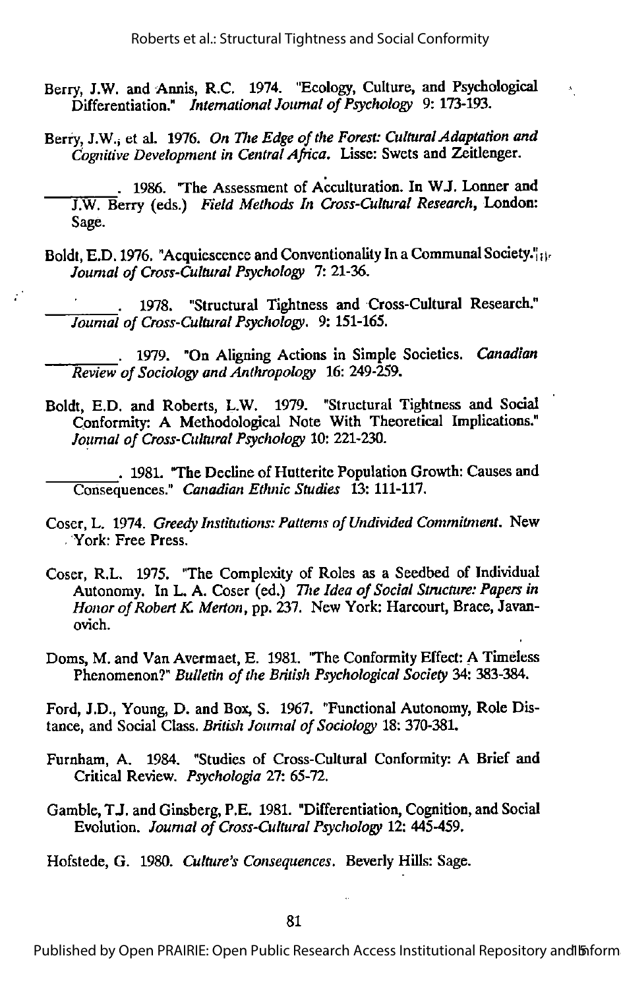$\mathbf{A}^{\prime}$ 

- Berry, J.W. and Annis, R.C. 1974. "Ecology, Culture, and Psychological Differentiation." International Journal of Psychology 9: 173-193.
- Berry, J.W., et al. 1976. On The Edge of the Forest: Cultural Adaptation and Cognitive Development in Central Africa. Lisse: Swets and Zeitlenger.
- . 1986. The Assessment of Acculturation. In WJ. Lonner and J.W. Berry (eds.) Field Methods In Cross-Cultural Research, London: Sage.
- Boldt, E.D. 1976. "Acquiescence and Conventionality In a Communal Society."<sub>[1]</sub>. Journal of Cross-Cultural Psychology 7: 21-36.

1978. "Structural Tightness and Cross-Cultural Research." Journal of Cross-Cultural Psychology. 9: 151-165.

 $\mathcal{L}^{\bullet}$ 

1979. "On Aligning Actions in Simple Societies. Canadian Review of Sociology and Anthropology 16: 249-259.

Boldt, E.D. and Roberts, L.W. 1979. "Structural Tightness and Social Conformity: A Methodological Note With Theoretical Implications." Journal of Cross-Cultural Psychology 10: 221-230.

. 1981. "The Decline of Hutterite Population Growth: Causes and Consequences." Canadian Ethnic Studies 13: 111-117.

- Coser, L. 1974. Greedy Institutions: Patterns of Undivided Commitment. New . York: Free Press.
- Coser, R.L. 1975. "The Complexity of Roles as a Seedbed of Individual Autonomy. In L. A. Coser (ed.) The Idea of Social Structure: Papers in Honor of Robert K. Merton, pp. 237. New York: Harcourt, Brace, Javanovich.
- Doms, M. and Van Avermaet, E. 1981. "The Conformity Effect: A Timeless Phenomenon?" Bulletin of the British Psychological Society 34: 383-384.

Ford, J.D., Young, D. and Box, S. 1967. "Functional Autonomy, Role Dis tance, and Social Class. British Journal of Sociology 18: 370-381.

- Furnham, A. 1984. "Studies of Cross-Cultural Conformity: A Brief and Critical Review. Psychologia 27: 65-72.
- Gamble,TJ. and Ginsberg, P.E. 1981. "Differentiation, Cognition, and Social Evolution. Journal of Cross-Cultural Psychology 12: 445-459.

Hofstede, G. 1980. Culture's Consequences. Beverly Hills: Sage.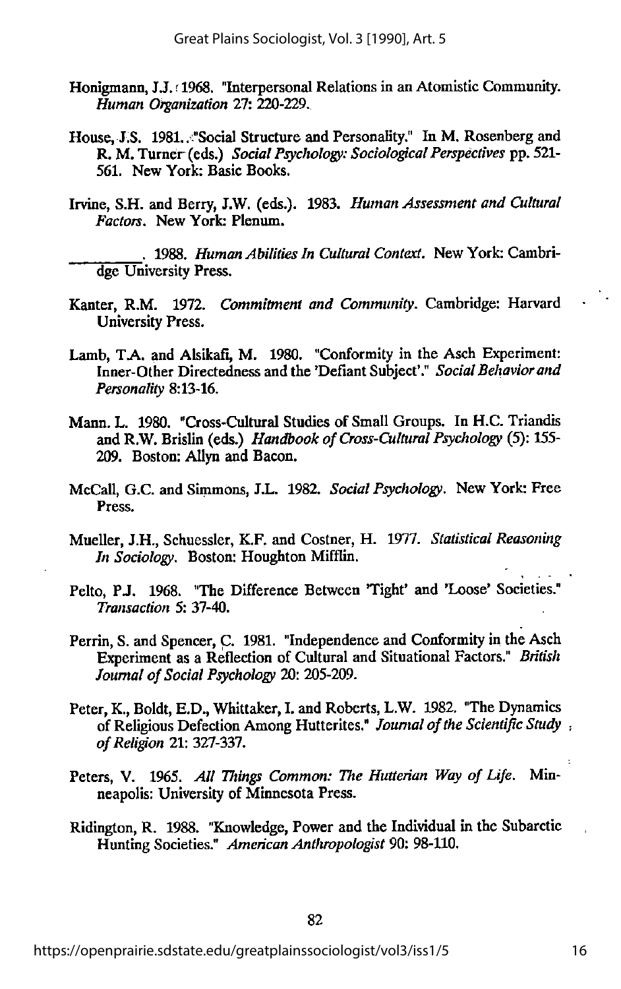- Honigmann, J.J. r1968. "Interpersonal Relations in an Atomistic Community. Human Organization 27: 220-229.
- House, J.S. 1981. . "Social Structure and Personality." In M. Rosenberg and R. M. Turner (eds.) Social Psychology: Sociological Perspectives pp. 521-561. New York: Basic Books.
- Irvine, S.H. and Berry, J.W. (eds.). 1983. Human Assessment and Cultural Factors. New York: Plenum.

1988. Human Abilities In Cultural Context. New York: Cambridge University Press.

- Kanter, R.M. 1972. Commitment and Community. Cambridge: Harvard University Press.
- Lamb, T.A. and Alsikafi, M. 1980. "Conformity in the Asch Experiment: Inner-Other Directedness and the 'Defiant Subject'." Social Behavior and Personality 8:13-16.
- Mann. L. 1980. "Cross-Cultural Studies of Small Groups. In H.C. Triandis and R.W. Brislin (eds.) Handbook of Cross-Cultural Psychology (5): 155-209. Boston: Allyn and Bacon.
- McCall, G.C. and Simmons, J.L. 1982. Social Psychology. New York: Free Press.
- Mueller, J.H., Schuessler, K.F. and Costner, H. 1977. Statistical Reasoning In Sociology. Boston: Houghton Mifflin.
- Pelto, P.J. 1968. "The Difference Between 'Tight' and 'Loose' Societies." Transaction 5: 37-40.
- Perrin, S. and Spencer, C. 1981. "Independence and Conformity in the Asch Experiment as a Reflection of Cultural and Situational Factors." British Journal of Social Psychology 20: 205-209.
- Peter, K., Boldt, E.D., Whittaker, I. and Roberts, L.W. 1982. "The Dynamics of Religious Defection Among Hutterites." Journal of the Scientific Study, ofReligion 21: 327-337.
- Peters, V. 1965. All Things Common: The Hutterian Way of Life. Minneapolis: University of Minnesota Press.
- Ridington, R. 1988. "Knowledge, Power and the Individual in the Subarctic Hunting Societies." American Anthropologist 90: 98-110.